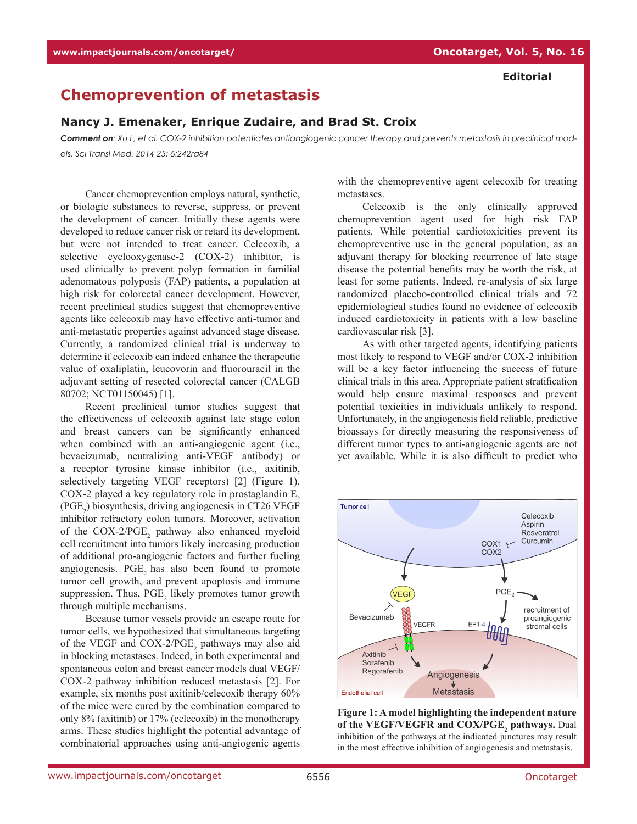## **Chemoprevention of metastasis**

## **Nancy J. Emenaker, Enrique Zudaire, and Brad St. Croix**

*Comment on: Xu L, et al. COX-2 inhibition potentiates antiangiogenic cancer therapy and prevents metastasis in preclinical models. Sci Transl Med. 2014 25; 6:242ra84*

Cancer chemoprevention employs natural, synthetic, or biologic substances to reverse, suppress, or prevent the development of cancer. Initially these agents were developed to reduce cancer risk or retard its development, but were not intended to treat cancer. Celecoxib, a selective cyclooxygenase-2 (COX-2) inhibitor, is used clinically to prevent polyp formation in familial adenomatous polyposis (FAP) patients, a population at high risk for colorectal cancer development. However, recent preclinical studies suggest that chemopreventive agents like celecoxib may have effective anti-tumor and anti-metastatic properties against advanced stage disease. Currently, a randomized clinical trial is underway to determine if celecoxib can indeed enhance the therapeutic value of oxaliplatin, leucovorin and fluorouracil in the adjuvant setting of resected colorectal cancer (CALGB 80702; NCT01150045) [1].

Recent preclinical tumor studies suggest that the effectiveness of celecoxib against late stage colon and breast cancers can be significantly enhanced when combined with an anti-angiogenic agent (i.e., bevacizumab, neutralizing anti-VEGF antibody) or a receptor tyrosine kinase inhibitor (i.e., axitinib, selectively targeting VEGF receptors) [2] (Figure 1). COX-2 played a key regulatory role in prostaglandin  $E<sub>2</sub>$  $(PGE<sub>2</sub>)$  biosynthesis, driving angiogenesis in CT26 VEGF inhibitor refractory colon tumors. Moreover, activation of the  $COX-2/PGE$ <sub>2</sub> pathway also enhanced myeloid cell recruitment into tumors likely increasing production of additional pro-angiogenic factors and further fueling angiogenesis. PGE, has also been found to promote tumor cell growth, and prevent apoptosis and immune suppression. Thus,  $PGE_2$  likely promotes tumor growth through multiple mechanisms.

Because tumor vessels provide an escape route for tumor cells, we hypothesized that simultaneous targeting of the VEGF and  $COX-2/PGE_2$  pathways may also aid in blocking metastases. Indeed, in both experimental and spontaneous colon and breast cancer models dual VEGF/ COX-2 pathway inhibition reduced metastasis [2]. For example, six months post axitinib/celecoxib therapy 60% of the mice were cured by the combination compared to only 8% (axitinib) or 17% (celecoxib) in the monotherapy arms. These studies highlight the potential advantage of combinatorial approaches using anti-angiogenic agents

with the chemopreventive agent celecoxib for treating metastases.

Celecoxib is the only clinically approved chemoprevention agent used for high risk FAP patients. While potential cardiotoxicities prevent its chemopreventive use in the general population, as an adjuvant therapy for blocking recurrence of late stage disease the potential benefits may be worth the risk, at least for some patients. Indeed, re-analysis of six large randomized placebo-controlled clinical trials and 72 epidemiological studies found no evidence of celecoxib induced cardiotoxicity in patients with a low baseline cardiovascular risk [3].

As with other targeted agents, identifying patients most likely to respond to VEGF and/or COX-2 inhibition will be a key factor influencing the success of future clinical trials in this area. Appropriate patient stratification would help ensure maximal responses and prevent potential toxicities in individuals unlikely to respond. Unfortunately, in the angiogenesis field reliable, predictive bioassays for directly measuring the responsiveness of different tumor types to anti-angiogenic agents are not yet available. While it is also difficult to predict who



**Figure 1: A model highlighting the independent nature of the VEGF/VEGFR and COX/PGE, pathways.** Dual inhibition of the pathways at the indicated junctures may result in the most effective inhibition of angiogenesis and metastasis.